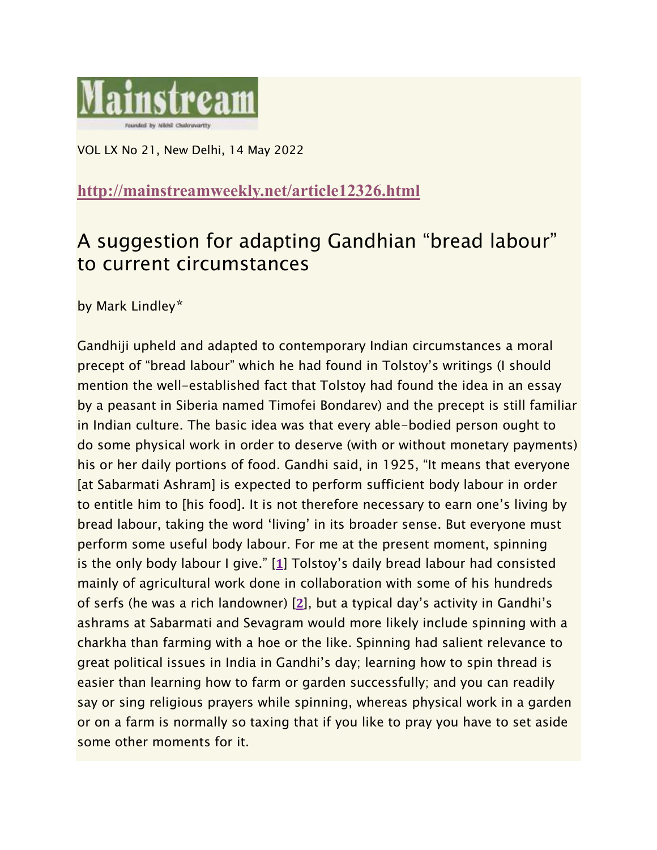

VOL LX No 21, New Delhi, 14 May 2022

## **<http://mainstreamweekly.net/article12326.html>**

## A suggestion for adapting Gandhian "bread labour" to current circumstances

by Mark Lindley\*

Gandhiji upheld and adapted to contemporary Indian circumstances a moral precept of "bread labour" which he had found in Tolstoy's writings (I should mention the well-established fact that Tolstoy had found the idea in an essay by a peasant in Siberia named Timofei Bondarev) and the precept is still familiar in Indian culture. The basic idea was that every able-bodied person ought to do some physical work in order to deserve (with or without monetary payments) his or her daily portions of food. Gandhi said, in 1925, "It means that everyone [at Sabarmati Ashram] is expected to perform sufficient body labour in order to entitle him to [his food]. It is not therefore necessary to earn one's living by bread labour, taking the word 'living' in its broader sense. But everyone must perform some useful body labour. For me at the present moment, spinning is the only body labour I give." [**[1](http://mainstreamweekly.net/article12326.html#nb1)**] Tolstoy's daily bread labour had consisted mainly of agricultural work done in collaboration with some of his hundreds of serfs (he was a rich landowner) [**[2](http://mainstreamweekly.net/article12326.html#nb2)**], but a typical day's activity in Gandhi's ashrams at Sabarmati and Sevagram would more likely include spinning with a charkha than farming with a hoe or the like. Spinning had salient relevance to great political issues in India in Gandhi's day; learning how to spin thread is easier than learning how to farm or garden successfully; and you can readily say or sing religious prayers while spinning, whereas physical work in a garden or on a farm is normally so taxing that if you like to pray you have to set aside some other moments for it.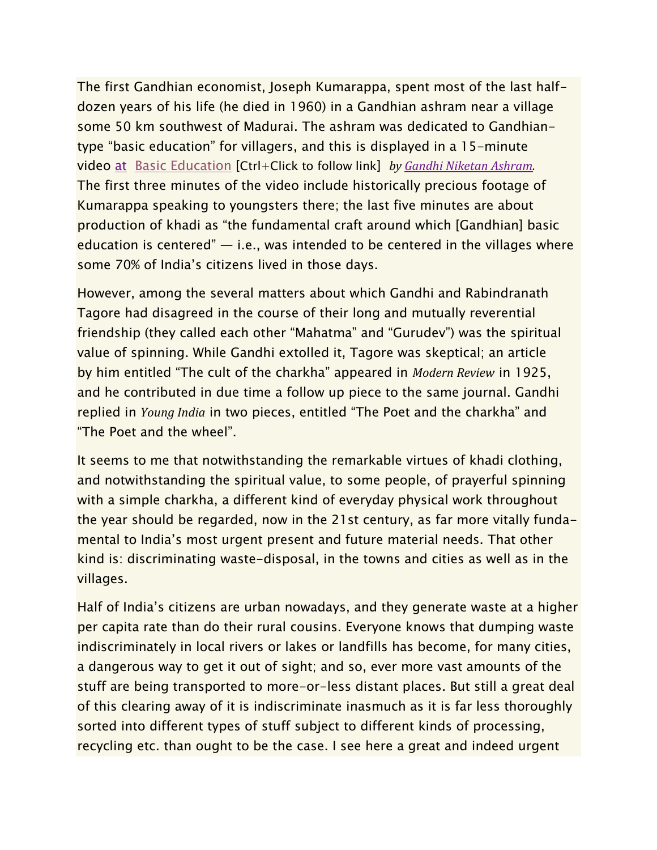The first Gandhian economist, Joseph Kumarappa, spent most of the last halfdozen years of his life (he died in 1960) in a Gandhian ashram near a village some 50 km southwest of Madurai. The ashram was dedicated to Gandhiantype "basic education" for villagers, and this is displayed in a 15-minute video [at](https://youtu.be/SB-gHR6UQ7c) Basic [Education](https://youtu.be/SB-gHR6UQ7c) [Ctrl+Click to follow link] *by Gandhi Niketan [Ashram.](https://www.youtube.com/channel/UCv4O6MKRV-TVyZqUyS1lTmQ)* The first three minutes of the video include historically precious footage of Kumarappa speaking to youngsters there; the last five minutes are about production of khadi as "the fundamental craft around which [Gandhian] basic education is centered"  $-$  i.e., was intended to be centered in the villages where some 70% of India's citizens lived in those days.

However, among the several matters about which Gandhi and Rabindranath Tagore had disagreed in the course of their long and mutually reverential friendship (they called each other "Mahatma" and "Gurudev") was the spiritual value of spinning. While Gandhi extolled it, Tagore was skeptical; an article by him entitled "The cult of the charkha" appeared in *Modern Review* in 1925, and he contributed in due time a follow up piece to the same journal. Gandhi replied in *Young India* in two pieces, entitled "The Poet and the charkha" and "The Poet and the wheel".

It seems to me that notwithstanding the remarkable virtues of khadi clothing, and notwithstanding the spiritual value, to some people, of prayerful spinning with a simple charkha, a different kind of everyday physical work throughout the year should be regarded, now in the 21st century, as far more vitally fundamental to India's most urgent present and future material needs. That other kind is: discriminating waste-disposal, in the towns and cities as well as in the villages.

Half of India's citizens are urban nowadays, and they generate waste at a higher per capita rate than do their rural cousins. Everyone knows that dumping waste indiscriminately in local rivers or lakes or landfills has become, for many cities, a dangerous way to get it out of sight; and so, ever more vast amounts of the stuff are being transported to more-or-less distant places. But still a great deal of this clearing away of it is indiscriminate inasmuch as it is far less thoroughly sorted into different types of stuff subject to different kinds of processing, recycling etc. than ought to be the case. I see here a great and indeed urgent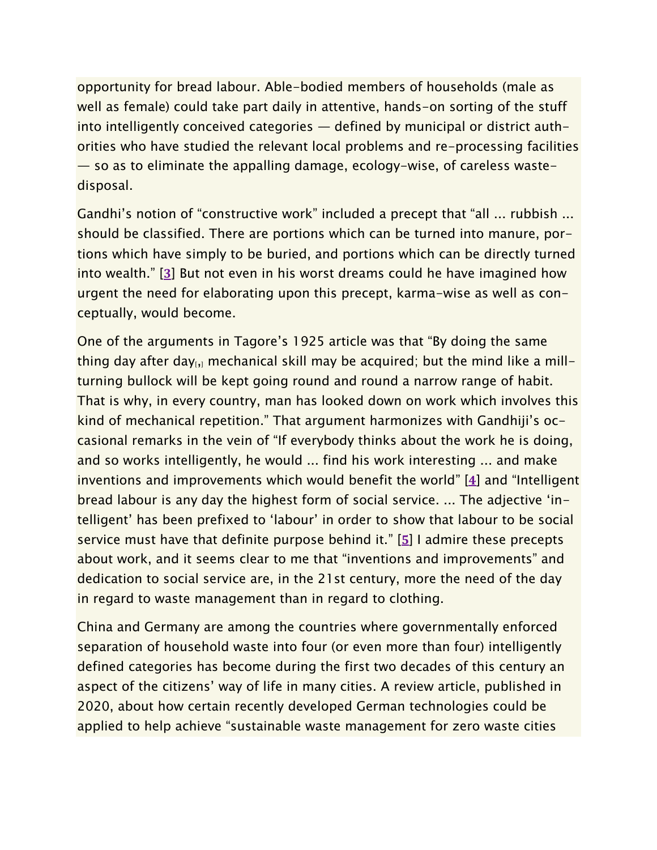opportunity for bread labour. Able-bodied members of households (male as well as female) could take part daily in attentive, hands-on sorting of the stuff into intelligently conceived categories — defined by municipal or district authorities who have studied the relevant local problems and re-processing facilities — so as to eliminate the appalling damage, ecology-wise, of careless wastedisposal.

Gandhi's notion of "constructive work" included a precept that "all ... rubbish ... should be classified. There are portions which can be turned into manure, portions which have simply to be buried, and portions which can be directly turned into wealth." [**[3](http://mainstreamweekly.net/article12326.html#nb3)**] But not even in his worst dreams could he have imagined how urgent the need for elaborating upon this precept, karma-wise as well as conceptually, would become.

One of the arguments in Tagore's 1925 article was that "By doing the same thing day after day $_{1,1}$  mechanical skill may be acquired; but the mind like a millturning bullock will be kept going round and round a narrow range of habit. That is why, in every country, man has looked down on work which involves this kind of mechanical repetition." That argument harmonizes with Gandhiji's occasional remarks in the vein of "If everybody thinks about the work he is doing, and so works intelligently, he would ... find his work interesting ... and make inventions and improvements which would benefit the world" [**[4](http://mainstreamweekly.net/article12326.html#nb4)**] and "Intelligent bread labour is any day the highest form of social service. ... The adjective 'intelligent' has been prefixed to 'labour' in order to show that labour to be social service must have that definite purpose behind it." [**[5](http://mainstreamweekly.net/article12326.html#nb5)**] I admire these precepts about work, and it seems clear to me that "inventions and improvements" and dedication to social service are, in the 21st century, more the need of the day in regard to waste management than in regard to clothing.

China and Germany are among the countries where governmentally enforced separation of household waste into four (or even more than four) intelligently defined categories has become during the first two decades of this century an aspect of the citizens' way of life in many cities. A review article, published in 2020, about how certain recently developed German technologies could be applied to help achieve "sustainable waste management for zero waste cities